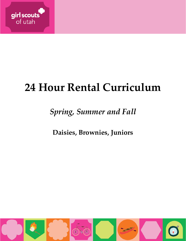

# **24 Hour Rental Curriculum**

## *Spring, Summer and Fall*

**Daisies, Brownies, Juniors**

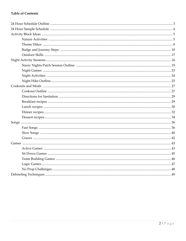## **Table of Contents**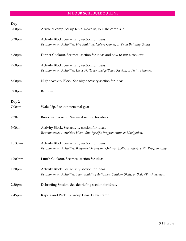## **24 HOUR SCHEDULE OUTLINE**

| Day 1<br>3:00pm    | Arrive at camp. Set up tents, move-in, tour the camp site.                                                                                    |
|--------------------|-----------------------------------------------------------------------------------------------------------------------------------------------|
| 3:30pm             | Activity Block. See activity section for ideas.<br>Recommended Activities: Fire Building, Nature Games, or Team Building Games.               |
| 4:30 <sub>pm</sub> | Dinner Cookout. See meal section for ideas and how to run a cookout.                                                                          |
| 7:00pm             | Activity Block. See activity section for ideas.<br>Recommended Activities: Leave No Trace, Badge/Patch Session, or Nature Games.              |
| 8:00pm             | Night Activity Block. See night activity section for ideas.                                                                                   |
| $9:00$ pm          | Bedtime.                                                                                                                                      |
| Day 2<br>7:00am    | Wake Up. Pack up personal gear.                                                                                                               |
| 7:30am             | Breakfast Cookout. See meal section for ideas.                                                                                                |
| 9:00am             | Activity Block. See activity section for ideas.<br>Recommended Activities: Hikes, Site-Specific Programming, or Navigation.                   |
| 10:30am            | Activity Block. See activity section for ideas.<br>Recommended Activities: Badge/Patch Session, Outdoor Skills, or Site-Specific Programming. |
| 12:00pm            | Lunch Cookout. See meal section for ideas.                                                                                                    |
| 1:30pm             | Activity Block. See activity section for ideas.<br>Recommended Activities: Team Building Activities, Outdoor Skills, or Badge/Patch Session.  |
| 2:30 <sub>pm</sub> | Debriefing Session. See debriefing section for ideas.                                                                                         |
| $2:45$ pm          | Kapers and Pack up Group Gear. Leave Camp.                                                                                                    |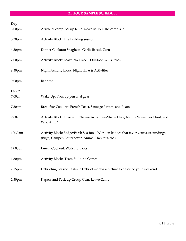## **24 HOUR SAMPLE SCHEDULE**

| Day 1              |                                                                                                                                         |
|--------------------|-----------------------------------------------------------------------------------------------------------------------------------------|
| 3:00pm             | Arrive at camp. Set up tents, move-in, tour the camp site.                                                                              |
| 3:30pm             | Activity Block: Fire Building session                                                                                                   |
| 4:30 <sub>pm</sub> | Dinner Cookout: Spaghetti, Garlic Bread, Corn                                                                                           |
| 7:00pm             | Activity Block: Leave No Trace - Outdoor Skills Patch                                                                                   |
| 8:30pm             | Night Activity Block: Night Hike & Activities                                                                                           |
| $9:00$ pm          | Bedtime                                                                                                                                 |
|                    |                                                                                                                                         |
| Day 2<br>7:00am    | Wake Up. Pack up personal gear.                                                                                                         |
| 7:30am             | Breakfast Cookout: French Toast, Sausage Patties, and Pears                                                                             |
| 9:00am             | Activity Block: Hike with Nature Activities -Shape Hike, Nature Scavenger Hunt, and<br>Who Am I?                                        |
| 10:30am            | Activity Block: Badge/Patch Session - Work on badges that favor your surroundings<br>(Bugs, Camper, Letterboxer, Animal Habitats, etc.) |
| 12:00pm            | Lunch Cookout: Walking Tacos                                                                                                            |
| 1:30pm             | <b>Activity Block: Team Building Games</b>                                                                                              |
| $2:15$ pm          | Debriefing Session. Artistic Debrief - draw a picture to describe your weekend.                                                         |
| 2:30 <sub>pm</sub> | Kapers and Pack up Group Gear. Leave Camp.                                                                                              |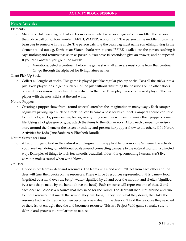#### **Nature Activities**

#### Elements

- o Materials: Hat, bean bag or Frisbee. Form a circle. Select a person to go into the middle. The person in the middle call out of four words, EARTH, WATER, AIR or FIRE. The person in the middle throws the bean bag to someone in the circle. The person catching the bean bag must name something living in the element called out e.g. Earth- bear; Water- shark; Air- pigeon. If FIRE is called out the person catching it says nothing and returns it as soon as possible. You have 10 seconds to give an answer, and no repeats! If you can't answer, you go in the middle.
	- o Variations: Select a continent before the game starts; all answers must come from that continent. Or, go through the alphabet for living nature names.

#### Giant Pick Up Sticks

o Collect all lengths of sticks. This game is played just like regular pick up sticks. Toss all the sticks into a pile. Each player tries to get a stick out of the pile without disturbing the positions of the other sticks. She continues removing sticks until she disturbs the pile. Then play passes to the next player. The first player with the most sticks at the end wins.

#### Nature Puppets

o Creating a puppet show from "found objects" stretches the imagination in many ways. Each camper begins by picking up a stick or a rock that can become a base for his puppet. Campers should continue to find rocks, sticks, pine needles, leaves, or anything else they will need to make their puppets come to life. Using a hot glue gun or glue, attach the items to the stick or rock. Allow each camper to devise a story around the theme of the lesson or activity and present her puppet show to the others. (101 Nature Activities for Kids, Jane Sanborn & Elizabeth Rundle)

Nature Scavenger Hunt

 $\circ$  A list of things to find in the natural world—great if it is applicable to your camp's theme, the activity you have been doing, or additional goals around connecting campers to the natural world in a directed way. Examples of things to look for: smooth, beautiful, oldest thing, something humans can't live without, makes sound when wind blows.

#### Oh Deer!

o Divide into 2 teams – deer and resources. The teams will stand about 20 feet from each other and the deer will turn their backs on the resources. There will be 3 resources represented in this game – food (signified by a hand over the belly), water (signified by a hand over the mouth), and shelter (signified by a tent shape made by the hands above the head). Each resource will represent one of these 3 and each deer will choose a resource that they need for the round. The deer will then turn around and run to find a resource that match the symbol they are doing. If they find what they desire, they take the resource back with them who then becomes a new deer. If the deer can't find the resource they selected or there is not enough, they die and become a resource. This is a Project Wild game so make sure to debrief and process the similarities to nature.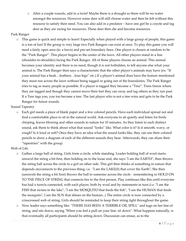o After a couple rounds, add in a twist! Maybe there is a drought so there will be no water amongst the resources. However some deer will still choose water and then be left without this resource to satisfy their need. You can also add in a predator – have one girl be a coyote and tag deer as they are racing for resources. These deer then die and become resources.

## Park Ranger

o This game is quick and simple to learn! Especially when played with a large group of people, this game is a ton of fun! If the group is very large two Park Rangers can exist at once. To play this game you will need a fairly open area (ie: a lawn) and pre-set boundary lines. One player is chosen at random to be the "Park Ranger". This player begins in the center of the lawn. All other players stand in a line (shoulder-to-shoulder) facing the Park Ranger. All of these players choose an animal. This animal becomes your identity and there is no need, though it is not forbidden, to tell anyone else what your animal is. The Park Ranger then says a characteristic that the other player's animals may have (ex: "If your animal has a beak…feathers…four legs" etc.) If a player's animal does have the feature mentioned they must run across the lawn without being tagged or going out of the boundaries. The Park Ranger tries to tag as many people as possible. If a player is tagged they become a "Tree". Trees freeze where they are tagged and though they cannot move their feet they can sway and tag others as they run past. If a Tree tags you, you too become a tree. The last player who is not a tree wins and gets to be the Park Ranger for future rounds.

#### Sound Tapestry

o Each girl needs a piece of blank paper and a few colored pencils. Have each individual spread out and find a comfortable place to sit in the natural world. Ask everyone to sit quietly and listen for birds chirping, leaves blowing and other sounds in nature for 10 minutes. As they listen to each distinct sound, ask them to think about what that sound "looks" like. What color is it? Is it smooth, wavy, or rough? Is it loud or soft? Once they have an idea what the sound looks like, they can use their colored pencils to draw a diagram of each of the different sounds they hear. Afterwards, they can share their "tapestries" with the group.

#### Web of Life

- o Gather a large ball of string. Girls form a circle, while standing. Leader holding ball of wool starts: unravel the string a bit first, then holding on to the loose end, she says "I am the EARTH", then throws the string ball across the circle to a girl on other side. This girl then thinks of something in nature that depends on/connects to the previous thing; i.e. "I am the LAKE(S) that cover the Earth"; She then (unravels the string a bit first) throws the ball to someone across the circle - remembering to HOLD ON TO THE PIECE OF STRING that connects her to the first person. Play continues like this until everyone has had a turn/is connected, with each player, both by wool and by statements in turn (i.e. "I am the FISH that swims in the lake", "I am the MOSQUITO that feeds the fish", "I am the HUMAN that feeds the mosquito", I am the SUN that shines on the human...) The entire circle is now connected by a crisscrossed web of string. Girls should be reminded to keep their string tight throughout the game.
- o Now leader says something like: "THERE HAS BEEN A TERRIBLE OIL SPILL" and tugs on her line of string, and sits down, saying "When you feel a pull on your line: sit down". What happens naturally, is that eventually all participants should be sitting down. Discussion can ensue, as to the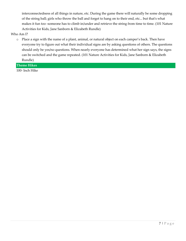interconnectedness of all things in nature, etc. During the game there will naturally be some dropping of the string ball; girls who throw the ball and forget to hang on to their end, etc... but that's what makes it fun too -someone has to climb in/under and retrieve the string from time to time. (101 Nature Activities for Kids, Jane Sanborn & Elizabeth Rundle)

Who Am I?

o Place a sign with the name of a plant, animal, or natural object on each camper's back. Then have everyone try to figure out what their individual signs are by asking questions of others. The questions should only be yes/no questions. When nearly everyone has determined what her sign says, the signs can be switched and the game repeated. (101 Nature Activities for Kids, Jane Sanborn & Elizabeth Rundle)

**Theme Hikes** 

100- Inch Hike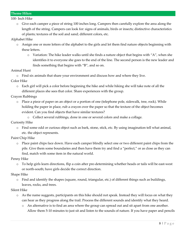## **Theme Hikes**

#### 100- Inch Hike

o Give each camper a piece of string 100 inches long. Campers then carefully explore the area along the length of the string. Campers can look for: signs of animals, birds or insects; distinctive characteristics of plants; textures of the soil and sand; different colors, etc.

Alphabet Hike

- o Assign one or more letters of the alphabet to the girls and let them find nature objects beginning with these letters.
	- o Variation: The hike leader walks until she finds a nature object that begins with "A", when she identifies it to everyone she goes to the end of the line. The second person is the new leader and finds something that begins with "B", and so on.

#### Animal Hunt

- o Find six animals that share your environment and discuss how and where they live.
- Color Hike
	- o Each girl will pick a color before beginning the hike and while hiking she will take note of all the different places she sees that color. Share experiences with the group.
- Crayon Rubbings
	- o Place a piece of paper on an object or a portion of one (telephone pole, sidewalk, tree, rock). While holding the paper in place, rub a crayon over the paper so that the texture of the object becomes evident. Can you find objects that have similar textures?
		- o Collect several rubbings, done in one or several colors and make a collage.
- Curiosity Hike
	- o Find some odd or curious object such as bark, stone, stick, etc. By using imagination tell what animal, etc. the object represents.

#### Paint Chip Hike

o Place paint chips face down. Have each camper blindly select one or two different paint chips from the pile. Give them some boundaries and then have them try and find a "perfect," or as close as they can find, match with some item in the natural world.

#### Penny Hike

o To help girls learn directions, flip a coin after pre-determining whether heads or tails will be east-west or north-south; have girls decide the correct direction.

Shape Hike

Find and identify the shapes (square, round, triangular, etc.) of different things such as buildings, leaves, rocks, and trees.

#### Silent Hike

- o As the name suggests, participants on this hike should not speak. Instead they will focus on what they can hear as they progress along the trail. Process the different sounds and identify what they heard.
	- o An alternative is to find an area where the group can spread out and sit apart from one another. Allow them 5-10 minutes to just sit and listen to the sounds of nature. If you have paper and pencils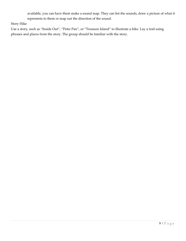available, you can have them make a sound map. They can list the sounds, draw a picture of what it represents to them or map out the direction of the sound.

Story Hike

Use a story, such as "Inside Out", "Peter Pan", or "Treasure Island" to illustrate a hike. Lay a trail using phrases and places from the story. The group should be familiar with the story.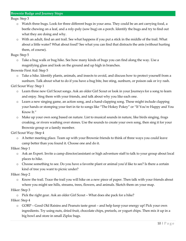Bugs: Step 3

- o Watch three bugs. Look for three different bugs in your area. They could be an ant carrying food, a beetle chewing on a leaf, and a roly-poly (sow bug) on a porch. Identify the bugs and try to find out what they are doing and why.
- o With an adult, find an ant trail. See what happens if you put a stick in the middle of the trail. What about a little water? What about food? See what you can find that distracts the ants (without hurting them, of course).

Bugs: Step 5

o Take a bug walk or bug hike. See how many kinds of bugs you can find along the way. Use a magnifying glass and look on the ground and up high in branches.

Brownie First Aid: Step 5

o Take a hike. Identify plants, animals, and insects to avoid, and discuss how to protect yourself from a sunburn. Talk about what to do if you have a bug bite, bee sting, sunburn, or poison oak or ivy rash.

Girl Scout Way: Step 1

- o Learn three new Girl Scout songs. Ask an older Girl Scout or look in your Journeys for a song to learn and enjoy. Sing them with your friends, and talk about why you like each one.
- o Learn a new singing game, an action song, and a hand-clapping song. These might include clapping your hands or stomping your feet in tie to songs like "The Hokey Pokey" or "If You're Happy and You Know It."
- o Make up your own song based on nature. List to musical sounds in nature, like birds singing, frogs croaking, or rivers washing over stones. Use the sounds to create your own song, then sing it for your Brownie group or a family member.

Girl Scout Way: Step 4

o A better meeting place. Team up with your Brownie friends to think of three ways you could leave camp better than you found it. Choose one and do it.

Hiker: Step 1

- o Ask an Expert. Invite a camp director/assistant or high adventure staff to talk to your group about local places to hike.
- o Choose something to see. Do you have a favorite plant or animal you'd like to see? Is there a certain kind of tree you want to picnic under?

Hiker: Step 2

Know the trail. Trace the trail you will hike on a new piece of paper. Then talk with your friends about where you might see hills, streams, trees, flowers, and animals. Sketch them on your map.

#### Hiker: Step 3

o Pick the right gear. Ask an older Girl Scout – What does she pack for a hike?

Hiker: Step 4

o GORP – Good Old Raisins and Peanuts taste great – and help keep your energy up! Pick your own ingredients. Try using nuts, dried fruit, chocolate chips, pretzels, or yogurt chips. Then mix it up in a big bowl and store in small Ziploc bags.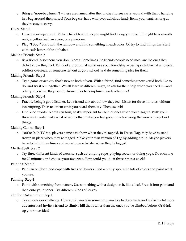o Bring a "nose-bag lunch"! – these are named after the lunches horses carry around with them, hanging in a bag around their noses! Your bag can have whatever delicious lunch items you want, as long as they're easy to carry.

Hiker: Step 5

- o Have a scavenger hunt. Make a list of ten things you might find along your trail. It might be a smooth rock, a yellow leaf, an acorn, or a pinecone.
- o Play "I Spy." Start with the rainbow and find something in each color. Or try to find things that start with each letter of the alphabet!

Making Friends: Step 2

o Be a friend to someone you don't know. Sometimes the friends people need most are the ones they didn't know they had. Think of a group that could use your friendship—perhaps children at a hospital, soldiers overseas, or someone left out at your school, and do something nice for them.

Making Friends: Step 3

o Try a game or activity that's new to both of you. With a friend, find something new you'd both like to do, and try it out together. We all learn in different ways, so ask for their help when you need it—and offer yours when they need it. Remember to compliment each other, too!

Making Friends: Step 4

- o Practice being a good listener. Let a friend talk about how they feel. Listen for three minutes without interrupting. Then tell them what you heard them say. Then, switch!
- o Find kind words. Words can hurt, so it's important to use nice ones when you disagree. With your Brownie friends, make a list of words that make you feel good. Practice using the words to say kind things.

Making Games: Step 4

o You're It. In TV tag, players name a tv show when they're tagged. In Freeze Tag, they have to stand frozen in place when they're tagged. Make your own version of Tag by adding a rule. Maybe players have to twirl three times and say a tongue twister when they're tagged.

My Best Self: Step 2

o Try three different kinds of exercise, such as jumping rope, playing soccer, or doing yoga. Do each one for 20 minutes, and choose your favorites. How could you do it three times a week?

Painting: Step 2

o Paint an outdoor landscape with trees or flowers. Find a pretty spot with lots of colors and paint what you see.

## Painting: Step 4

o Paint with something from nature. Use something with a design on it, like a leaf. Press it into paint and then onto your paper. Try different kinds of leaves.

Outdoor Adventurer: Step 1

o Try an outdoor challenge. How could you take something you like to do outside and make it a bit more adventurous? Invite a friend to climb a hill that's taller than the ones you've climbed before. Or think up your own idea!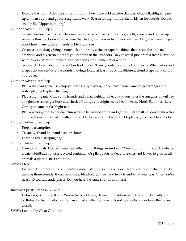o Explore the night. After the sun sets, find out how the world outside changes. Grab a flashlight, team up with an adult, and go for a nighttime walk. Search for nighttime critters. Listen for sounds. Do you see the Big Dipper in the sky?

Outdoor Adventurer: Step 2

- o Go on a nature hike. Go on a treasure hunt to collect leaves, pinecones, shells, acorns, and odd-shaped rocks. Follow tracks on a trail – were they left by humans or by other creatures? Or go bird watching an count how many different kinds of birds you see.
- o Create a scent diary. Bring a notebook and draw, write, or tape the things that create the unusual, amazing, and mysterious scents you can find in the outdoors. Do you smell pine from a tree? Leaves or wildflowers? A campfire burning? How does the air smell after a rain?
- o Sky watch. Learn about different kinds of clouds. Then go outside and look at the sky. What colors and shapes do you see? Are the clouds moving? Draw at least five of the different cloud shapes and colors you've seen.

Outdoor Adventurer: Step 3

- o Play a survival game. Develop your senses by playing the Survival Tent Game or get stronger and faster playing Capture the Flag.
- o Play a night game. Grab some friends and a flashlight, and head outdoors after the sun goes down! Try a nighttime scavenger hunt and check off things you might see or hear, like the North Star or crickets. Or play a game of flashlight tag.
- o Play a water game. Experience fun ways to be around water and get wet. Fill small balloons with water and use them to play catch with a friend. Or do a water limbo dance. Or play a game like Marco Polo.

Outdoor Adventurer: Step 4

- o Prepare a campfire.
- o Tie an overhand knot and a square knot.
- o Learn to roll a sleeping bag.

Outdoor Adventurer: Step 5

o Care for animals. How can you help other living things around you? You might put up a bird feeder or create a birdbath out of a recycled container. Or pile up lots of dead branches and leaves to give small animals a place to nest and hide.

Senses: Step 2

o List for 10 different sounds. If you're inside, listen for sounds outside. Draw pictures of what might be making those sounds. If you're outside, blindfold yourself and tell a friend what you hear. Once you've heard 10 sounds, trade places. Do you hear the same sounds as others?

Brownie Quest: Friendship Game

o Icebreaker/Getting to Know You Activity – Have girls line up in different orders: alphabetically, by birthday, by t-shirt color, etc. For an added challenge, have girls not be able to talk or have their eyes closed.

WOW: Loving the Great Outdoors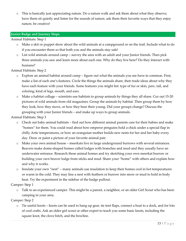o This is basically just appreciating nature. Do a nature walk and ask them about what they observe, have them sit quietly and listen for the sounds of nature, ask them their favorite ways that they enjoy nature, be creative!

#### **Junior Badge and Journey Steps**

Animal Habitats: Step 1

- o Make a skit or puppet show about the wild animals at a campground or on the trail. Include what to do if you encounter them so that both you and the animals stay safe!
- o List wild animals around camp survey the area with an adult and your Junior friends. Then pick three animals you saw and learn more about each one. Why do they live here? Do they interact with humans?

Animal Habitats: Step 2

- o Explore an animal habitat around camp figure out what the animals you see have in common. First, make a list of each one's features. Circle the things the animals share, then trade ideas about why they have each feature with your friends. Some features you might list: type of fur or skin, paw, tail, and coloring; kind of legs, mouth, and ears.
- o Make a habitat collage scientists use habitats to group animals by things they all share. Cur out 15-20 pictures of wild animals from old magazines. Group the animals by habitat. Then group them by how they look, how they move, or how they bear their young. Did your groups change? Discuss the grouping with your Junior friends – and make up ways to group animals.

Animal Habitats: Step 3

- o Check out baby-animal habitats find out how different animal parents care for their babies and make "homes" for them. You could read about how emperor penguins hold a chick under a special flap in chilly Artic temperatures, or how an orangutan mother builds new nests for her and her baby every day. Draw or paint a picture of your favorite animal pair.
- o Make your own animal house meerkats live in large underground burrows with several entrances. Beavers make dome-shaped homes called lodges with branches and mud-and they usually have an underwater entrance. Research these animal homes and try sketching your own meerkat burrow or building your own beaver lodge from sticks and mud. Share your "home" with others and explain how and why it works.
- $\circ$  Insulate your own "nest" many animals use insulation to keep their homes cool in hot temperatures or warm in the cold. They may line a nest with feathers or burrow into snow or mud to hold in body heat. Try the experiment in the sidebar of the badge pullout.

Camper: Step 1

o Talk to an experienced camper. This might be a parent, a neighbor, or an older Girl Scout who has been camping in your area.

Camper: Step 2

o Tie useful knots – knots can be used to hang up gear, tie tent flaps, connect a boat to a dock, and for lots of cool crafts. Ask an older girl scout or other expert to teach you some basic knots, including the square knot, the clove hitch, and the bowline.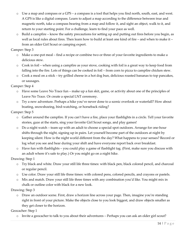- o Use a map and compass or a GPS a compass is a tool that helps you find north, south, east, and west. A GPS is like a digital compass. Learn to adjust a map according to the difference between true and magnetic north, take a compass bearing from a map and follow it, and sight an object, walk to it, and return to your starting point. For a challenge, learn to find your pace as well.
- $\circ$  Build a campfire know the safety precautions for setting up and putting out fires before you begin, as well as local rules about fires. Then learn how to build at least one kind of fire – and when to make it – from an older Girl Scout or camping expert.

Camper: Step 3

- o Make a one-pot meal find a recipe or combine two or three of your favorite ingredients to make a delicious stew.
- o Cook in foil when using a campfire as your stove, cooking with foil is a great way to keep food from falling into the fire. Lots of things can be cooked in foil – from corn to pizza to campfire chicken stew.
- o Cook a meal on a stick try grilled cheese in a hot dog bun, delicious roasted bananas to top pancakes, or sausages.

Camper: Step 4

- o Have some Leave No Trace fun make up a fun skit, game, or activity about one of the principles of Leave No Trace. Or create a special LNT ceremony.
- o Try a new adventure. Perhaps a hike you've never done to a scenic overlook or waterfall? How about boating, snowshoeing, bird-watching, or horseback riding?

Camper: Step 5

- o Gather around the campfire. If you can't have a fire, place your flashlights in a circle. Tell your favorite stories, gaze at the starts, sing your favorite Girl Scout songs, and play games!
- o Do a night watch team up with an adult to choose a special spot outdoors. Arrange for one-hour shifts through the night, signing up in pairs. Let yourself become part of the outdoors at night by keeping silent. How is the night world different from the day? What happens to your senses? Record or log what you see and hear during your shift and have everyone report back over breakfast.
- o Have fun with flashlights you could play a game of flashlight tag. (First, make sure you discuss with an adult where it's safe to play.) Or you might go on a night hike.

Drawing: Step 1

- o Try black and white. Draw your still life three times: with black pen, black colored pencil, and charcoal or regular pencil.
- o Use color. Draw your still life three times: with colored pens, colored pencils, and crayons or pastels.
- o Mix and match. Draw your still life three times with any combination you'd like. You might mix in chalk or outline color with black for a new look.

Drawing: Step 3

o Draw an outdoor scene. First, draw a horizon line across your page. Then, imagine you're standing right in front of your picture. Make the objects close to you look biggest, and draw objects smaller as they get closer to the horizon.

Geocacher: Step 1

o Invite a geocacher to talk to you about their adventures – Perhaps you can ask an older girl scout?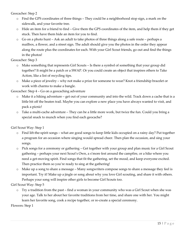Geocacher: Step 2

- o Find the GPS coordinates of three things They could be a neighborhood stop sign, a mark on the sidewalk, and your favorite tree.
- o Hide an item for a friend to find Give them the GPS coordinates of the item, and help them if they get stuck. Then have them hide an item for you to find.
- o Go on a photo hunt Ask an adult to take photos of three things along a safe route perhaps a mailbox, a flower, and a street sign. The adult should give you the photos in the order they appear along the route plus the coordinates for each. With your Girl Scout friends, go out and find the things in the photos!

Geocacher: Step 3

- o Make something that represents Girl Scouts Is there a symbol of something that your group did together? It might be a patch or a SWAP. Or you could create an object that inspires others to Take Action, like a list of recycling tips.
- o Make a piece of jewelry why not make a prize for someone to wear? Knot a friendship bracelet or work with charms to make a bangle.

Geocacher: Step 4 – Go on a geocaching adventure

- o Make it a hiking adventure get out of your community and into the wild. Track down a cache that is a little bit off the beaten trail. Maybe you can explore a new place you have always wanted to visit, and pack a picnic!
- o Take a multi-cache adventure They can be a little more work, but twice the fun. Could you bring a special snack to munch when you find each geocache?

Girl Scout Way: Step 1

- o Find lift-the-spirit songs what are good songs to keep little kids occupied on a rainy day? Put together a program for an occasion where singing would spread cheer. Then plan the occasion, and sing your songs.
- o Pick songs for a ceremony or gathering Get together with your group and plan music for a Girl Scout gathering – perhaps your next Scout's Own, a s'more fest around the campfire, or a hike where you need a get-moving spirit. Find songs that fit the gathering, set the mood, and keep everyone excited. Then practice them so you're ready to sing at the gathering!
- o Make up a song to share a message Many songwriters compose songs to share a message they feel is important. Try it! Make up a jingle or song about why you love Girl scouting, and share it with others. Perhaps your song will inspire other girls to become Girl Scouts too.

Girl Scout Way: Step 5

o Try a tradition from the past – find a woman in your community who was a Girl Scout when she was your age. Talk to her about her favorite traditions from her time, and share one with her. You might learn her favorite song, cook a recipe together, or re-create a special ceremony.

Flowers: Step 1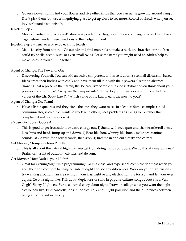o Go on a flower hunt. Find your flower and five other kinds that you can name growing around camp. Don't pick them, but use a magnifying glass to get up close to see more. Record or sketch what you see in your botanist's notebook.

## Jeweler: Step 2

o Make a pendant with a "caged" stone – A pendant is a large decoration you hang on a necklace. For a caged-stone pendant, see directions in the badge pull out.

Jeweler: Step 3 – Turn everyday objects into jewelry

o Make jewelry from nature – Go outside and find materials to make a necklace, bracelet, or ring. You could try shells, seeds, nuts, or even small twigs. For some items you might need an adult's help to make holes to your stuff together.

Agent of Change: The Power of One

o Discovering Yourself. You can add an active component to this so it doesn't seem all discussion based. Ideas: trace their bodies with chalk and have them fill it in with their powers. Create an abstract drawing that represents their strengths. Be creative! Sample questions: "What do you think about your powers and strengths?", "Why are they important?", "How do your powers or strengths reflect the values of the Girl Scout Law?", "Which value of the Law means the most to you?"

Agent of Change: Go, Team!

o Have a list of qualities and they circle the ones they want to see in a leader. Some examples: good communicator, is creative, wants to work with others, sees problems as things to fix rather than complain about, etc (more on 34).

aMuse: Go Loosey Goosey!

o This is good to get frustrations or extra energy out. 1) Stand with feet apart and shake/rattle/roll arms, legs, hips and head. Jump up and down. 2) Roar like lion, whinny like horse, make other animal sounds. 3) Go wild for a few seconds, then stop. 4) Breathe in and out slowly and calmly.

Get Moving: Stomp in a Rain Puddle

o This is all about the natural high that you get from doing things outdoors. We do this at camp all week! Brainstorm a list of outdoor activities and do some!

Get Moving: How Dark is your Night?

o Great for evening/nighttime programming! Go in a closet and experience complete darkness when you shut the door; compare to being outside at night and see any differences. Work on your night vision try walking around in an area without your flashlight or any electric lighting for a bit and let your eyes adjust. Go on a night hike. Talk about depictions of stars in popular culture: songs about stars, Van Gogh's Starry Night, etc. Write a journal entry about night. Draw or collage what you want the night sky to look like. Find constellations in the sky. Talk about light pollution and the differences between being at camp and in the city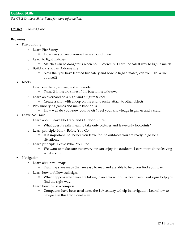*See GSU Outdoor Skills Patch for more information.* 

#### **Daisies** – Coming Soon

#### **Brownies**

- Fire Building
	- o Learn Fire Safety
		- How can you keep yourself safe around fires?
	- o Learn to light matches
		- Matches can be dangerous when not lit correctly. Learn the safest way to light a match.
	- o Build and start an A-frame fire
		- Now that you have learned fire safety and how to light a match, can you light a fire yourself?
- Knots
	- o Learn overhand, square, and slip knots
		- These 3 knots are some of the best knots to know.
	- o Learn an overhand on a bight and a figure 8 knot
		- Create a knot with a loop on the end to easily attach to other objects!
	- o Play knot tying games and make knot dolls
		- How well do you know your knots? Test your knowledge in games and a craft.
- Leave No Trace
	- o Learn about Leave No Trace and Outdoor Ethics
		- What does it really mean to take only pictures and leave only footprints?
	- o Learn principle: Know Before You Go
		- It is important that before you leave for the outdoors you are ready to go for all situations.
	- o Learn principle: Leave What You Find
		- We want to make sure that everyone can enjoy the outdoors. Learn more about leaving what you find.
- Navigation
	- o Learn about trail maps
		- Trail maps are maps that are easy to read and are able to help you find your way.
	- o Learn how to follow trail signs
		- What happens when you are hiking in an area without a clear trail? Trail signs help you find the right way.
	- o Learn how to use a compass
		- Compasses have been used since the  $11<sup>th</sup>$  century to help in navigation. Learn how to navigate in this traditional way.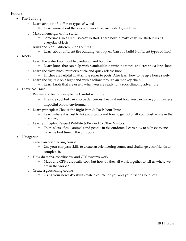## **Juniors**

- Fire Building
	- o Learn about the 3 different types of wood
		- Learn more about the kinds of wood we use to start great fires
	- o Make an emergency fire starter
		- Sometimes fires aren't so easy to start. Learn how to make easy fire starters using everyday objects
	- o Build and start 3 different kinds of fires
		- Learn about different fire building techniques. Can you build 3 different types of fires?
- Knots
	- o Learn the water knot, double overhand, and bowline
		- **•** Learn knots that can help with teambuilding, finishing ropes, and creating a large loop.
	- o Learn the clove hitch, munter's hitch, and quick release knot
		- Hitches are helpful in attaching ropes to posts. Also learn how to tie up a horse safely.
	- o Learn the figure 8 on a bight and with a follow through an monkey chain
		- Learn knots that are useful when you are ready for a rock climbing adventure.
- Leave No Trace
	- o Review and learn principle: Be Careful with Fire
		- Fires are cool but can also be dangerous. Learn about how you can make your fires less impactful on our environment.
	- o Learn principles: Choose the Right Path & Trash Your Trash
		- Learn where it is best to hike and camp and how to get rid of all your trash while in the outdoors.
	- o Learn principles: Respect Wildlife & Be Kind to Other Visitors
		- There's lots of cool animals and people in the outdoors. Learn how to help everyone have the best time in the outdoors.
- Navigation
	- o Create an orienteering course
		- Use your compass skills to create an orienteering course and challenge your friends to complete it.
	- o How do maps, coordinates, and GPS systems work
		- Maps and GPS's are really cool, but how do they all work together to tell us where we are in the world?
	- o Create a geocaching course
		- Using your new GPS skills create a course for you and your friends to follow.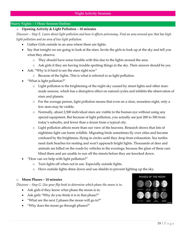#### **Starry Nights – 1 Hour Session Outline**

#### o **Opening Activity & Light Pollution – 10 minutes**

*Discover – Step E. Learn about light pollution and how it affects astronomy. Find an area around you that has high light pollution and an area of low light pollution.*

- Gather Girls outside in an area where there are lights.
- Say that tonight we are going to look at the stars. Invite the girls to look up at the sky and tell you what they observe.
	- o They should have some trouble with this due to the lights around the area.
	- o Ask girls if they are having trouble spotting things in the sky. Their answer should be yes.
- Ask: "Why is it hard to see the stars right now"
	- o Because of the lights. This is what is referred to as light pollution.
- "What is light pollution?"
	- o Light pollution is the brightening of the night sky caused by street lights and other manmade sources, which has a disruptive effect on natural cycles and inhibits the observation of stars and planets.
	- o For the average person, light pollution means that even on a clear, moonless night, only a few stars may be visible.
	- o Normally, about 2,500 individual stars are visible to the human eye without using any special equipment. But because of light pollution, you actually see just 200 to 300 from today's suburbs, and fewer than a dozen from a typical city.
	- o Light pollution affects more than our view of the heavens. Research shows that lots of nighttime light can harm wildlife. Migrating birds sometimes fly over cities and become confused by the brightness, flying in circles until they drop from exhaustion. Sea turtles need dark beaches for nesting and won't approach bright lights. Thousands of deer and animals are killed on the roads by vehicles in the evenings, because the glare of these cars blind them and are unable to run off the streets before they are knocked down.
- "How can we help with light pollution?"
	- o Turn lights off when not in use. Especially outside lights.
	- o Have outside lights shine down and use shields to prevent lighting up the sky.

#### o **Moon Phases – 10 minutes**

*Discover – Step G. Use your flip book to determine which phase the moon is in.*

- Ask girls if they know what phase the moon is in.
- Ask girls "Why do you think it is in that phase?"
- "What are the next 2 phases the moon will go to?"
- "Why does the moon go through phases?"

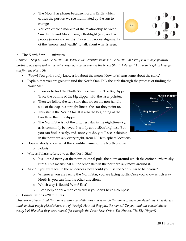- o The Moon has phases because it orbits Earth, which causes the portion we see illuminated by the sun to change.
- o You can create a mockup of the relationship between Sun, Earth, and Moon using a flashlight (sun) and two people (moon and earth). Play with various alignments of the "moon" and "earth" to talk about what is seen.



## o **The North Star – 10 minutes**

*Connect – Step E. Find the North Star. What is the scientific name for the North Star? Why is it always pointing north? If you were lost in the wilderness, how could you use the North Star to help you? Draw and explain how you can find the North Star.*

- "Wow! You girls surely know a lot about the moon. Now let's learn some about the stars."
- Explain that you are going to find the North Star. Talk the girls through the process of finding the North Star.
	- o In order to find the North Star, we first find The Big Dipper. Trace the outline of the big dipper with the laser pointer.
	- o Then we follow the two stars that are on the non-handle side of the cup in a straight line to the star they point to.
	- o This star is the North Star. It is also the beginning of the handle in the little dipper.
	- o The North Star is not the brightest star in the nighttime sky, as is commonly believed. It's only about 50th brightest. But you can find it easily, and, once you do, you'll see it shining in the northern sky every night, from N. Hemisphere locations.
- Does anybody know what the scientific name for the North Star is?
	- o Polaris
- Why is Polaris referred to as the North Star?
	- o It's located nearly at the north celestial pole, the point around which the entire northern sky turns. This means that all the other stars in the northern sky move around it.
- Ask: "If you were lost in the wilderness, how could you use the North Star to help you?"
	- o Whenever you are facing the North Star, you are facing north. Once you know which way North is, you can find the other directions.
	- o Which way is South? West? East?
	- o It can help orient a map correctly if you don't have a compass.

## o **Constellations – 20 minutes**

*Discover – Step A. Find the names of three constellations and research the names of those constellations. How do you think ancient people picked shapes out of the sky? How did they pick the names? Do you think the constellations really look like what they were named (for example the Great Bear, Orion-The Hunter, The Big Dipper)?*

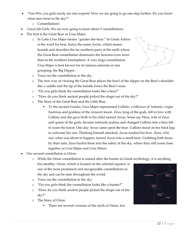- "Gee-Wiz you girls surely are star experts! Now we are going to go one step further. Do you know what stars form in the sky?"
	- o Constellations!
- Great Job Girls. We are now going to learn about 3 constellations.
- The first is the Great Bear or Ursa Major.
	- o In Latin Ursa Major means "greater she-bear." In Greek Arktos is the word for bear, hence the name Arctic, which means bearish and describes the far northern parts of the earth where the Great Bear constellation dominates the heavens even more than in the northern hemisphere. A very large constellation, Ursa Major is best known for its famous asterism or star grouping, the Big Dipper.



- o Trace out the constellation in the sky.
- o The new way of viewing the Great Bear places the bowl of the dipper on the Bear's shoulder like a saddle and the tip of the handle forms the Bear's nose.
- o "Do you girls think the constellation looks like a bear?"
- o "How do you think ancient people picked the shape out of the sky?"
- o The Story of the Great Bear and the Little Bear
	- To the ancient Greeks, Ursa Major represented Callisto, a follower of Artemis, virgin huntress and goddess of the crescent moon. Zeus, king of the gods, fell in love with Callisto and she gave birth to his child named Arcas. Some say Hera, wife of Zeus and queen of the gods, became intensely jealous and changed Callisto into a bear left to roam the forest. One day Arcas came upon the bear. Callisto stood on her hind legs to welcome her son. Thinking himself attacked, Arcas readied his bow. Zeus, who saw what was about to happen, turned Arcas into a small bear. Grabbing both bears by their tails, Zeus hurled them into the safety of the sky, where they still roam close together as Ursa Major and Ursa Minor.
- Our second constellation is Orion.
	- o While the Orion constellation is named after the hunter in Greek mythology, it is anything but stealthy. Orion, which is located on the celestial equator, is one of the most prominent and recognizable constellations in the sky and can be seen throughout the world.
	- o Trace out the constellation in the sky.
	- o "Do you girls think the constellation looks like a hunter?"
	- o "How do you think ancient people picked the shape out of the sky?"
	- o The Story of Orion
		- There are several versions of the myth of Orion, but

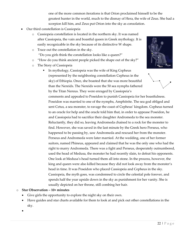one of the more common iterations is that Orion proclaimed himself to be the greatest hunter in the world, much to the dismay of Hera, the wife of Zeus. She had a scorpion kill him, and Zeus put Orion into the sky as consolation.

- Our third constellation is Cassiopeia
	- o Cassiopeia constellation is located in the northern sky. It was named after Cassiopeia, the vain and boastful queen in Greek mythology. It is easily recognizable in the sky because of its distinctive W shape.
	- o Trace out the constellation in the sky. "Do you girls think the constellation looks like a queen?"
	- o "How do you think ancient people picked the shape out of the sky?"
	- o The Story of Cassiopeia
		- In mythology, Cassiopeia was the wife of King Cepheus (represented by the neighboring constellation Cepheus in the sky) of Ethiopia. Once, she boasted that she was more beautiful than the Nereids. The Nereids were the 50 sea nymphs fathered by the Titan Nereus. They were enraged by Cassiopeia's

comments and appealed to Poseidon to punish Cassiopeia for her boastfulness. Poseidon was married to one of the nymphs, Amphitrite. The sea god obliged and sent Cetus, a sea monster, to ravage the coast of Cepheus' kingdom. Cepheus turned to an oracle for help and the oracle told him that, in order to appease Poseidon, he and Cassiopeia had to sacrifice their daughter Andromeda to the sea monster. Reluctantly, they did so, leaving Andromeda chained to a rock for the monster to find. However, she was saved in the last minute by the Greek hero Perseus, who happened to be passing by, saw Andromeda and rescued her from the monster. Perseus and Andromeda were later married. At the wedding, one of her former suitors, named Phineus, appeared and claimed that he was the only one who had the right to marry Andromeda. There was a fight and Perseus, desperately outnumbered, used the head of Medusa, the monster he had recently slain, to defeat his opponents. One look at Medusa's head turned them all into stone. In the process, however, the king and queen were also killed because they did not look away from the monster's head in time. It was Poseidon who placed Cassiopeia and Cepheus in the sky. Cassiopeia, the myth goes, was condemned to circle the celestial pole forever, and spends half the year upside down in the sky as punishment for her vanity. She is usually depicted on her throne, still combing her hair.

## o **Star Observation – 10+ minutes**

- Give girls the opportunity to explore the night sky on their own.
- Have guides and star charts available for them to look at and pick out other constellations in the sky.
- •

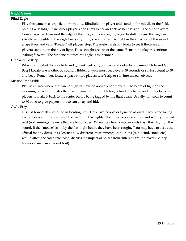Blind Eagle

o Play this game in a large field or meadow. Blindfold one player and stand in the middle of the field, holding a flashlight. One other player stands next to her and acts as her assistant. The other players form a large circle around the edge of the field, and, on a signal, begin to stalk toward the eagle as silently as possible. If the eagle hears anything, she aims her flashlight in the direction of the sound, snaps it on, and yells "Freeze!" All players stop. The eagle's assistant looks to see if there are any players standing in the ray of light. Those caught are out of the game. Remaining players continue staking forward. The first one to touch the eagle is the winner.

Hide and Go Beep

o When it's too dark to play hide and go seek, get out your personal radar for a game of Hide and Go Beep! Locate one another by sound: Hidden players must beep every 30 seconds or so. Just count to 30 and beep. Remember, locate a space where players won't trip or run into unseen objects.

Mission Impossible

o Play in an area where "it" can be slightly elevated above other players. The beam of light on the incoming player eliminates the player from that round. Hiding behind hay bales, and other obstacles, players to make it back to the center before being tagged by the light beam. Usually 'it' needs to count to 60 or so to give players time to run away and hide.

Owl / Prey.

o Discuss how owls use sound in locating prey. Have two people designated as owls. They stand facing each other on opposite sides of the trail with flashlights. The other people are mice and will try to sneak past (not running) the owls that are blindfolded. When they hear a mouse, owls flash their light on the sound. If the "mouse" is hit by the flashlight beam, they have been caught. (You may have to act as the official for any decisions.) Discuss how different environmental conditions (rain, wind, snow, etc.) would affect the catch rate. Also, discuss the impact of noises from different ground cover (i.e. dry leaves versus hard-packed trail).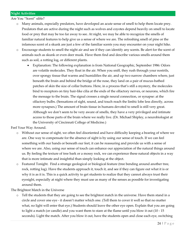Are You "Scent" sible?

- o Many animals, especially predators, have developed an acute sense of smell to help them locate prey. Predators that are active during the night such as wolves and coyotes depend heavily on smell to locate food or prey that may be too far away to see. At night, we may be able to recognize the smells of familiar natural features to help give us a sense of where we are. The refreshing smell of pine or the infamous scent of a skunk are just a few of the familiar scents you may encounter on your night hike.
- o Encourage students to smell the night air and see if they can identify any scents. Be alert for the scent of animals such as skunk or even deer musk. Have them find and describe various smells around them such as soil, a rotting log, or different plants.
	- Explanation: The following explanation is from National Geographic, September 1986: Odors are volatile molecules. They float in the air. When you sniff, they rush through your nostrils, over spongy tissue that warms and humidifies the air, and up two narrow chambers where, just beneath the brain and behind the bridge of the nose, they land on a pair of mucus-bathed patches of skin the size of collar buttons. Here, in a process that's still a mystery, the molecules bind to receptors on tiny hair-like cilia at the ends of the olfactory nerves, or neurons, which fire the message to the brain. The signal crosses a single neural connection, or synapse: at the olfactory bulbs. (Sensations of sight, sound, and touch reach the limbic lobe less directly, across more synapses.) The amount of brain tissue in humans devoted to smell is still very great. Although we don't seem to be very aware of smells, they have a very privileged and intimate access to those parts of the brain where we really live. (Dr. Michael Shipley, a neurobiologist at the University of Cincinnati College of Medicine.)

Feel Your Way Around.

- o Without our sense of sight, we often feel disoriented and have difficulty keeping a bearing of where we are. One way to compensate for the absence of sight is by using our sense of touch. If we can feel something with our hands or beneath our feet, it can be reassuring and provide us with a sense of where we are. Also, using our sense of touch can enhance our appreciation of the natural things around us. By feeling the texture of tree bark or a mossy rock, we can experience these natural objects in a way that is more intimate and insightful than simply looking at the object.
- o Featured Tonight. Find a strange geological or biological feature (tree bending around another tree, rock, rotting log). Have the students approach it, touch it, and see if they can figure out what it is or why it is as it is. This is a quick activity to get students to realize that they cannot always trust their eyesight, especially at night where they must use as many of the senses as possible for investigating around them.

The Brightest Match in the Universe

o Tell the students that they are going to see the brightest match in the universe. Have them stand in a circle and cover one eye - it doesn't matter which one. (Tell them to cover it well so that no matter what, no light will enter that eye.) Students should leave the other eye open. Explain that you are going to light a match (or candle) and you want them to stare at the flame until you blow it out (10 - 15 seconds). Light the match. After you blow it out, have the students open and close each eye, switching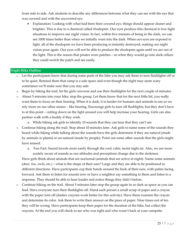from side to side. Ask students to describe any differences between what they can see with the eye that was covered and with the uncovered eye.

• Explanation: Looking with what had been their covered eye, things should appear clearer and brighter. This is due to a chemical called rhodopsin. Our eyes produce this chemical in low-light situations to improve our night vision. In fact, within five minutes of being in the dark, we can see 1000 times better than when we initially went into the dark. When our eyes are exposed to light, all of the rhodopsin we have been producing is instantly destroyed, making our night vision poor again. Our eyes will not be able to produce the rhodopsin again until we are out of the light. This is the reason that pirates wore patches – so when they would go into dark cellars they could switch the patch and see easily.

#### **Night Hike Outline**

- o Let the participants know that during some parts of the hike you may ask them to turn flashlights off or to be quiet. Remind them that camp is a safe space and even though the night may seem scary sometimes we'll make sure that you stay safe.
- o Begin by hiking the trail, let the girls converse and use their flashlights for the next couple of minutes.
- o About 5 minutes into your hike, stop the group. Let them know that for the next little bit, you really want them to focus on their hearing. When it is dark, it is harder for humans and animals to see so we rely more on our other senses – like hearing. Encourage girls to turn off flashlights, but they don't have to at this point – cutting down on the light around you will help increase your hearing. Girls can also partner walk with a buddy if they wish.
	- a. While hiking ask girls to identify 10 sounds that they can hear that they can't see
- o Continue hiking along the trail. Stop about 10 minutes later. Ask girls to name some of the sounds they heard while hiking while talking about the sounds have the girls determine if they are natural (made by animals or plants) or un-natural (made by people). Point out some other sounds that the girls might have missed.
	- a. Fun Fact: Sound travels more easily through the cool, calm, moist night air. Also, we are more acutely aware of sounds as our attitudes and perceptions change due to the darkness.

Have girls think about animals that are nocturnal (animals that are active at night). Name some animals (deer, fox, owls, etc.) – what is the shape of their ears? Large and they are able to be positioned in different directions. Have participants cup their hands around the back of their ears, with palms facing forward. Ask them to listen for sounds now or have a neighbor say something to them and listen to a response. They should be able to hear louder and notice things they didn't before.

o Continue hiking on the trail. About 5 minutes later stop the group again in as dark as space as you can find. Have everyone turn their flashlights off. Hand each person a small scrap of paper and a crayon with the paper torn off (darker crayons work better for this activity). Have them examine the crayon and determine its color. Ask them to write their answer on the piece of paper. Nine times out of ten they will be wrong. Have participants keep their paper for the duration of the hike, but collect the crayons. At the end you will check to see who was right and who wasn't back at your campsite.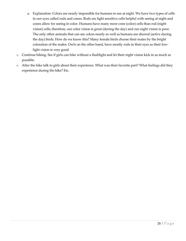- a. Explanation: Colors are nearly impossible for humans to see at night. We have two types of cells in our eyes called rods and cones. Rods are light sensitive cells helpful with seeing at night and cones allow for seeing in color. Humans have many more cone (color) cells than rod (night vision) cells; therefore, our color vision is great (during the day) and our night vision is poor. The only other animals that can see colors nearly as well as humans are diurnal (active during the day) birds. How do we know this? Many female birds choose their mates by the bright coloration of the males. Owls on the other hand, have mostly rods in their eyes so their lowlight vision is very good.
- o Continue hiking. See if girls can hike without a flashlight and let their night vision kick in as much as possible.
- o After the hike talk to girls about their experience. What was their favorite part? What feelings did they experience during the hike? Etc.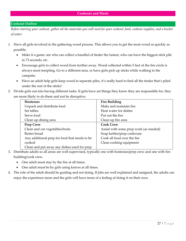#### **Cookout Outline**

*Before starting your cookout, gather all the materials you will need for your cookout: food, cookout supplies, and a bucket of water.*

- 1. Have all girls involved in the gathering wood process. This allows you to get the most wood as quickly as possible.
	- Make it a game: see who can collect a handful of tinder the fastest, who can have the biggest stick pile in 73 seconds, etc.
	- Encourage girls to collect wood from further away. Wood collected within 5 feet of the fire circle is always most tempting. Go to a different area, or have girls pick up sticks while walking to the campsite.
	- Have an adult help girls keep wood in separate piles, it's really hard to find all the tinder that's piled under the rest of the sticks!
- 2. Divide girls out into having different tasks. If girls have set things they know they are responsible for, they are more likely to do them and not be disruptive.

| <b>Hostesses</b>                              | <b>Fire Building</b>                   |
|-----------------------------------------------|----------------------------------------|
| Unpack and distribute food                    | Make and maintain fire                 |
| Set tables                                    | Heat water for dishes                  |
| Serve food                                    | Put out the fire.                      |
| Clean up dining area                          | Clean up fire area                     |
| <b>Prep Crew</b>                              | <b>Cook Crew</b>                       |
| Clean and cut vegetables/fruits               | Assist with some prep work (as needed) |
| <b>Butter</b> bread                           | Soap kettles/prep cookware             |
| Any additional prep for food that needs to be | Cook all food over the fire            |
| cooked                                        | Clean cooking equipment                |
| Clean and put away any dishes used for prep   |                                        |

- 3. Distribute adults so all areas are well supervised, typically one with hostesses/prep crew and one with fire building/cook crew.
	- One adult must stay by the fire at all times.
	- One adult must be by girls using knives at all times.
- 4. The role of the adult should be guiding and not doing. If jobs are well explained and assigned, the adults can enjoy the experience more and the girls will have more of a feeling of doing it on their own.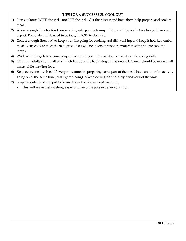## **TIPS FOR A SUCCESSFUL COOKOUT**

- 1) Plan cookouts WITH the girls, not FOR the girls. Get their input and have them help prepare and cook the meal.
- 2) Allow enough time for food preparation, eating and cleanup. Things will typically take longer than you expect. Remember, girls need to be taught HOW to do tasks.
- 3) Collect enough firewood to keep your fire going for cooking and dishwashing and keep it hot. Remember most ovens cook at at least 350 degrees. You will need lots of wood to maintain safe and fast cooking temps.
- 4) Work with the girls to ensure proper fire building and fire safety, tool safety and cooking skills.
- 5) Girls and adults should all wash their hands at the beginning and as needed. Gloves should be worn at all times while handing food.
- 6) Keep everyone involved. If everyone cannot be preparing some part of the meal, have another fun activity going on at the same time (craft, game, song) to keep extra girls and dirty hands out of the way.
- 7) Soap the outside of any pot to be used over the fire. (except cast iron.)
	- This will make dishwashing easier and keep the pots in better condition.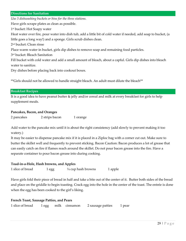#### **Directions for Sanitation**

*Use 3 dishwashing buckets or bins for the three stations.* 

Have girls scrape plates as clean as possible.

1 st bucket: Hot Soapy water

Heat water over fire, pour water into dish tub, add a little bit of cold water if needed, add soap to bucket, (a little goes a long way!) and a sponge. Girls scrub dishes clean.

2 nd bucket: Clean rinse

Place warm water in bucket, girls dip dishes to remove soap and remaining food particles.

3 rd bucket: Bleach Sanitation

Fill bucket with cold water and add a small amount of bleach, about a capful. Girls dip dishes into bleach water to sanitize.

Dry dishes before placing back into cookout boxes.

\*\*Girls should not be allowed to handle straight bleach. An adult must dilute the bleach\*\*

#### **Breakfast Recipes**

It is a good idea to have peanut butter & jelly and/or cereal and milk at every breakfast for girls to help supplement meals.

#### **Pancakes, Bacon, and Oranges**

2 pancakes 2 strips bacon 1 orange

Add water to the pancake mix until it is about the right consistency (add slowly to prevent making it too watery.)

It may be easier to dispense pancake mix if it is placed in a Ziploc bag with a corner cut out. Make sure to butter the skillet well and frequently to prevent sticking. Bacon Caution: Bacon produces a lot of grease that can easily catch on fire if flames reach around the skillet. Do not pour bacon grease into the fire. Have a separate container to pour bacon grease into during cooking.

#### **Toad-in-a-Hole, Hash browns, and Apples**

1 slice of bread 1 egg  $\frac{1}{4}$  cup hash browns 1 apple

Have girls fold their piece of bread in half and take a bite out of the center of it. Butter both sides of the bread and place on the griddle to begin toasting. Crack egg into the hole in the center of the toast. The entrée is done when the egg has been cooked to the girl's liking.

## **French Toast, Sausage Patties, and Pears**

1 slice of bread 1 egg milk cinnamon 2 sausage patties 1 pear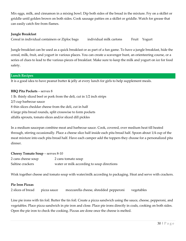Mix eggs, milk, and cinnamon in a mixing bowl. Dip both sides of the bread in the mixture. Fry on a skillet or griddle until golden brown on both sides. Cook sausage patties on a skillet or griddle. Watch for grease that can easily catch fire from flames.

#### **Jungle Breakfast**

Cereal in individual containers or Ziploc bags individual milk cartons Fruit Yogurt

Jungle breakfast can be used as a quick breakfast or as part of a fun game. To have a jungle breakfast, hide the cereal, milk, fruit, and yogurt in various places. You can create a scavenger hunt, an orienteering course, or a series of clues to lead to the various pieces of breakfast. Make sure to keep the milk and yogurt on ice for food safety.

**Lunch Recipes** 

It is a good idea to have peanut butter & jelly at every lunch for girls to help supplement meals.

## **BBQ Pita Pockets** – serves 8

1 lb. thinly sliced beef or pork from the deli, cut in 1/2 inch strips

2/3 cup barbecue sauce

8 thin slices cheddar cheese from the deli, cut in half

4 large pita bread rounds, split crosswise to form pockets

alfalfa sprouts, tomato slices and/or sliced dill pickles

In a medium saucepan combine meat and barbecue sauce. Cook, covered, over medium heat till heated through, stirring occasionally. Place a cheese slice half inside each pita bread half. Spoon about 1/4 cup of the meat mixture into each pita bread half. Have each camper add the toppers they choose for a personalized pita dinner.

## **Cheesy Tomato Soup** – serves 8-10

| 2 cans cheese soup | 2 cans tomato soup                         |
|--------------------|--------------------------------------------|
| Saltine crackers   | water or milk according to soup directions |

Wisk together cheese and tomato soup with water/milk according to packaging. Heat and serve with crackers.

## **Pie Iron Pizzas**

| 2 slices of bread | pizza sauce | mozzarella cheese, shredded pepperoni vegetables |  |
|-------------------|-------------|--------------------------------------------------|--|
|-------------------|-------------|--------------------------------------------------|--|

Line pie irons with tin foil. Butter the tin foil. Create a pizza sandwich using the sauce, cheese, pepperoni, and vegetables. Place pizza sandwich in pie iron and close. Place pie irons directly in coals, cooking on both sides. Open the pie iron to check the cooking. Pizzas are done once the cheese is melted.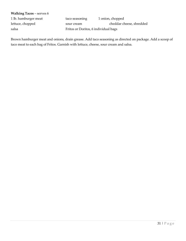#### **Walking Tacos** – serves 6

1 lb. hamburger meat taco seasoning 1 onion, chopped lettuce, chopped sour cream cheddar cheese, shredded salsa Fritos or Doritos, 6 individual bags

Brown hamburger meat and onions, drain grease. Add taco seasoning as directed on package. Add a scoop of taco meat to each bag of Fritos. Garnish with lettuce, cheese, sour cream and salsa.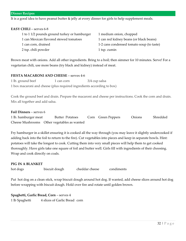It is a good idea to have peanut butter & jelly at every dinner for girls to help supplement meals.

#### **EASY CHILI** – serves 6-8

| 1 to 1 1/2 pounds ground turkey or hamburger | 1 medium onion, chopped                   |
|----------------------------------------------|-------------------------------------------|
| 1 can Mexican flavored stewed tomatoes       | 1 can red kidney beans (or black beans)   |
| 1 can corn, drained                          | 1-2 cans condensed tomato soup (to taste) |
| 2 tsp. chili powder                          | 1 tsp. cumin                              |

Brown meat with onions. Add all other ingredients. Bring to a boil; then simmer for 10 minutes. Serve! For a vegetarian chili, use more beans (try black and kidney) instead of meat.

#### **FIESTA MACARONI AND CHEESE** – serves 4-6

| 1 lb. ground beef | 1 can corn | 3/4 cup salsa                                                          |
|-------------------|------------|------------------------------------------------------------------------|
|                   |            | 1 box macaroni and cheese (plus required ingredients according to box) |

Cook the ground beef and drain. Prepare the macaroni and cheese per instructions. Cook the corn and drain. Mix all together and add salsa.

**Foil Dinners** – serves 6

1 lb. hamburger meat Butter Potatoes Corn Green Peppers Onions Shredded Cheese Mushrooms Other vegetables as wanted

Fry hamburger in a skillet ensuring it is cooked all the way through (you may leave it slightly undercooked if adding back into the foil to return to the fire). Cut vegetables into pieces and keep in separate bowls. Hint: potatoes will take the longest to cook. Cutting them into very small pieces will help them to get cooked thoroughly. Have girls take one square of foil and butter well. Girls fill with ingredients of their choosing. Wrap and cook directly on coals.

#### **PIG IN A BLANKET**

hot dogs biscuit dough cheddar cheese condiments

Put hot dog on a clean stick, wrap biscuit dough around hot dog. If wanted, add cheese slices around hot dog before wrapping with biscuit dough. Hold over fire and rotate until golden brown.

**Spaghetti, Garlic Bread, Corn** – serves 4 1 lb Spaghetti 4 slices of Garlic Bread corn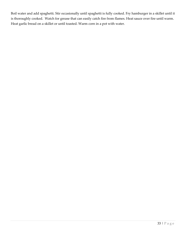Boil water and add spaghetti. Stir occasionally until spaghetti is fully cooked. Fry hamburger in a skillet until it is thoroughly cooked. Watch for grease that can easily catch fire from flames. Heat sauce over fire until warm. Heat garlic bread on a skillet or until toasted. Warm corn in a pot with water.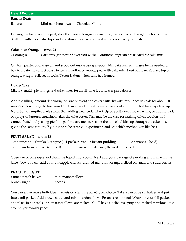#### **Desert Recipes**

#### **Banana Boats**

Bananas Mini marshmallows Chocolate Chips

Leaving the banana in the peel, slice the banana long-ways ensuring the not to cut through the bottom peel. Stuff cut with chocolate chips and marshmallows. Wrap in foil and cook directly on coals.

#### **Cake in an Orange** – serves 24

24 oranges Cake mix (whatever flavor you wish) Additional ingredients needed for cake mix

Cut top quarter of orange off and scoop out inside using a spoon. Mix cake mix with ingredients needed on box to create the correct consistency. Fill hollowed orange peel with cake mix about halfway. Replace top of orange, wrap in foil, set in coals. Desert is done when cake has formed.

#### **Dump Cake**

Mix and match pie fillings and cake mixes for an all-time favorite campfire dessert.

Add pie filling (amount depending on size of oven) and cover with dry cake mix. Place in coals for about 30 minutes. Don't forget to line your Dutch oven and lid with several layers of aluminum foil for easy clean up. Note: Some campfire chefs swear that adding clear soda, like 7-Up or Sprite, over the cake mix, or adding pads or sprays of butter/margarine makes the cake better. This may be the case for making cakes/cobblers with canned fruit, but by using pie fillings, the extra moisture from the sauce bubbles up through the cake mix, giving the same results. If you want to be creative, experiment, and see which method you like best.

#### **FRUIT SALAD** – serves 12

| 1 can pineapple chunks (keep juice) 1 package vanilla instant pudding |                                        | 2 bananas (sliced) |
|-----------------------------------------------------------------------|----------------------------------------|--------------------|
| 1 can mandarin oranges (drained)                                      | frozen strawberries, thawed and sliced |                    |

Open can of pineapple and drain the liquid into a bowl. Next add your package of pudding and mix with the juice. Now you can add your pineapple chunks, drained mandarin oranges, sliced bananas, and strawberries!

#### **PEACH DELIGHT**

| canned peach halves | mini marshmallows |
|---------------------|-------------------|
| brown sugar         | pecans            |

You can either make individual packets or a family packet, your choice. Take a can of peach halves and put into a foil packet. Add brown sugar and mini marshmallows. Pecans are optional. Wrap up your foil packet and place in hot coals until marshmallows are melted. You'll have a delicious syrup and melted marshmallows around your warm peach.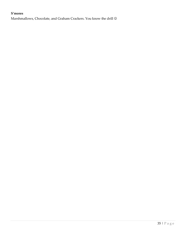## **S'mores**

Marshmallows, Chocolate, and Graham Crackers. You know the drill  $\odot$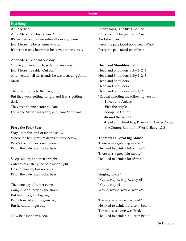#### **Songs**

#### **Fast Songs**

#### **Anne Marie**

Anne Marie, she loves Jean Pierre. It's written on the café sidewalks everywhere. Jean Pierre, he loves Anne Marie. It's written on a heart that he carved upon a tree.

Anne Marie, she said one day, "I love you very much, so let us run away!" Jean Pierre, he said, "Oui oui!" And went to tell his friends he was marrying Anne Marie.

They went out into the park, But they were getting hungry and it was getting dark. They went home before too late, For Anne Marie was seven, and Jean Pierre was eight.

#### **Percy the Polar Bear**

Way up in the land of ice and snow, Where the temperature drops to forty below, Who's the happiest one I know? Percy the pale faced polar bear.

Sleeps all day and then at night, Catches his fish by the pale moon light. Has no worries, has no cares, Percy the pale faced polar bear.

Then one day a hunter came, Caught poor Percy by the snout, Put him in a great big cage. Percy howled and he growled, But he couldn't get out.

Now he's living in a zoo,

Funny thing is he likes that too, Cause he met his girlfriend Sue, And she loves Percy the pale faced polar bear. Who? Percy the pale faced polar bear

#### **Head and Shoulders Baby**

Head and Shoulders Baby 1, 2, 3 Head and Shoulders Baby 1, 2, 3 Head and Shoulders Head and Shoulders Head and Shoulders Baby 1, 2, 3 \*Repeat inserting the following versus -Knees and Ankles -Pick the Apple -Scoop the Cotton -Round the World -Head and Shoulders, Knees and Ankles, Scoop the Cotton, Round the World, Baby 1,2,3

#### **There was a Great Big Moose**

There was a great big moose!\* He liked to drink a lot of juice.\* There was a great big moose!\* He liked to drink a lot of juice.\*

Chorus: Singing whoa!\* Way-o, way-o, way-o, way-o!\* Way-o, way-o!\* Way-o, way-o, way-o, way-o!\*

The moose's name was Fred.\* He liked to drink his juice in bed.\* The moose's name was Fred.\* He liked to drink his juice in bed.\*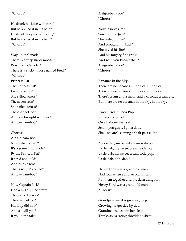## \*Chorus\*

He drank his juice with care,\* But he spilled it in his hair!\* He drank his juice with care,\* But he spilled it in his hair!\* \*Chorus\*

Way up in Canada,\* There is a very sticky moose!\* Way up in Canada,\* There is a sticky moose named Fred!\* \*Chorus\* **Princess Pat** The Princess Pat\* Lived in a tree\* She sailed across\* The seven seas\*

She sailed across\* The channel too\* And she brought with her\* A rig-a-bam-boo\*

Chorus:

A rig-a-bam-boo\* Now what is that?\* It's a something made\* By the Princess Pat\* It's red and gold\* And purple too\* That's why it's called\* A rig-a-bam-boo\*

Now Captain Jack\* Had a mighty fine crew\* They sailed across\* The channel too\* His ship did sink\* And so will you\* If you don't take\*

A rig-a-bam-boo\* \*Chorus\*

Now Princess Pat\* Saw Captain Jack\* She reeled him in\* And brought him back\* She saved his life\* And his mighty fine crew\* And with you know what?\* A rig-a-bam-boo\* \*Chorus\*

#### **Bananas in the Sky**

There are no bananas in the sky, in the sky. There are no bananas in the sky, in the sky. There's a sun and a moon and a coconut cream pie, But there are no bananas in the sky, in the sky.

#### **Sweet Cream Soda Pop**

Romeo and Juliet, On a balcony they sat. Scram you guys, I got a date. Shakespeare's coming at half past eight.

\*La de dah, my sweet cream soda pop. La de dah, my sweet cream soda pop. La de dah, my sweet cream soda pop. La de dah, dah, dah.\*

Henry Ford was a grand old man. Had four wheels and an old tin can. Put them together and the darn thing ran. Henry Ford was a grand old man. \*Chorus\*

Grandpa's beard is growing long. Growing longer day by day. Grandma chews it in her sleep. Thinks she's eating shredded wheat.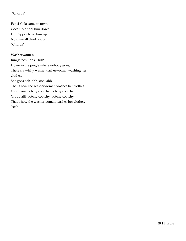## \*Chorus\*

Pepsi-Cola came to town. Coca-Cola shot him down. Dr. Pepper fixed him up. Now we all drink 7-up. \*Chorus\*

#### **Washerwoman**

Jungle positions: Huh! Down in the jungle where nobody goes, There's a wishy washy washerwoman washing her clothes. She goes ooh, ahh, ooh, ahh. That's how the washerwoman washes her clothes. Giddy aiii, ootchy cootchy, ootchy cootchy Giddy aiii, ootchy cootchy, ootchy cootchy That's how the washerwoman washes her clothes. Yeah!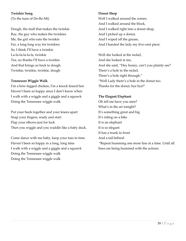**Twinkie Song** (To the tune of Do-Re-Mi)

Dough, the stuff that makes the twinkie Ray, the guy who makes the twinkies Me, the girl who eats the twinkie Far, a long long way for twinkies So, I think I'll have a twinkie La-la-la-la-la-la, twinkie Tea, no thanks I'll have a twinkie And that brings us back to dough Twinkie, twinkie, twinkie, dough

#### **Tennessee Wiggle Walk**

I'm a bow-legged chicken, I'm a knock kneed hen Haven't been so happy since I don't know when I walk with a wiggle and a giggle and a squawk Doing the Tennessee wiggle walk.

Put your heels together and your knees apart Snap your fingers, ready and start Flap your elbows just for luck Then you wiggle and you waddle like a baby duck.

Come dance with me baby, keep your toes in time Haven't been so happy in a long, long time I walk with a wiggle and a giggle and a squawk Doing the Tennessee wiggle walk Doing the Tennessee wiggle walk

#### **Donut Shop**

Well I walked around the corner, And I walked around the block, And I walked right into a donut shop, And I picked up a donut, And I wiped off the grease, And I handed the lady my five-cent piece.

Well she looked at the nickel, And she looked at me, And she said, "Hey honey, can't you plainly see? There's a hole in the nickel, There's a hole right through." "Well Lady there's a hole in the donut too. Thanks for the donut, bye bye!"

#### **The Elegant Elephant**

Oh tell me have you seen? What's in the air tonight? It's something great and big It's riding on a bike It is an elephant It is so elegant It has a trunk in front And a tail behind \*Repeat humming one more line at a time. Until all lines are being hummed with the actions.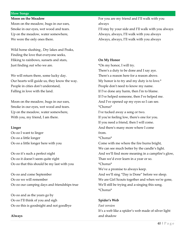#### **Slow Songs**

#### **Moon on the Meadow**

Moon on the meadow, bugs in our ears, Smoke in our eyes, wet wood and tears. Up on the meadow, water somewhere, We were the only ones there.

Wild horse slushing , Dry lakes and Peaks, Finding the love that everyone seeks, Hiking to rainbows, sunsets and stars, Just finding out who we are.

We will return there, some lucky day. Our hearts will guide us, they know the way. People in cities don't understand, Falling in love with the land.

Moon on the meadow, bugs in our ears, Smoke in our eyes, wet wood and tears. Up on the meadow, water somewhere, With you, my friend, I am there.

#### **Linger**

Oo oo I want to linger Oo oo a little longer Oo oo a little longer here with you

Oo oo it's such a perfect night Oo oo it doesn't seem quite right Oo oo that this should be my last with you

Oo oo and come September Oo oo we will remember Oo oo our camping days and friendships true

Oo oo and as the years go by Oo oo I'll think of you and sigh Oo oo this is goodnight and not goodbye

#### **Always**

For you are my friend and I'll walk with you always

I'll stay by your side and I'll walk with you always Always, always, I'll walk with you always Always, always, I'll walk with you always

#### **On My Honor**

\*On my honor, I will try. There's a duty to be done and I say aye. There's a reason here for a reason above. My honor is to try and my duty is to love.\* People don't need to know my name. If I've done any harm, then I'm to blame. If I've helped someone, then I've helped me. And I've opened up my eyes so I can see. \*Chorus\*

I've tucked away a song or two. If you're feeling low, there's one for you. If you need a friend, then I will come. And there's many more where I come from.

\*Chorus\*

Come with me where the fire burns bright, We can see much better by the candle's light. And we'll find more meaning in a campfire's glow, Than we'd ever learn in a year or so. \*Chorus\* We've a promise to always keep. And we'll sing "Day is Done" before we sleep.

We are Girl Scouts together and when we're gone, We'll still be trying and a-singing this song. \*Chorus\*

#### **Spider's Web**

#### *Fast version*

It's a web like a spider's web made of silver light and shadow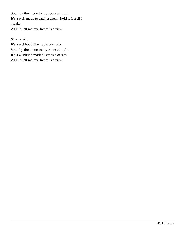Spun by the moon in my room at night It's a web made to catch a dream hold it fast til I awaken As if to tell me my dream is a view

#### *Slow version*

It's a webbbbb like a spider's web Spun by the moon in my room at night It's a webbbbb made to catch a dream As if to tell me my dream is a view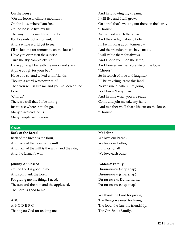## **On the Loose**

\*On the loose to climb a mountain, On the loose where I am free. On the loose to live my life The way I think my life should be. For I've only got a moment, And a whole world yet to see. I'll be looking for tomorrow on the loose.\* Have you ever seen the sunrise Turn the sky completely red? Have you slept beneath the moon and stars, A pine bough for your bed? Have you sat and talked with friends, Though a word was never said? Then you're just like me and you've been on the loose. \*Chorus\* There's a trail that I'll be hiking Just to see where it might go. Many places yet to visit, Many people yet to know.

And in following my dreams, I will live and I will grow. On a trail that's waiting out there on the loose. \*Chorus\* As I sit and watch the sunset And the daylight slowly fade, I'll be thinking about tomorrow And the friendships we have made. I will value them for always And I hope you'll do the same, And forever we'll explore life on the loose. \*Chorus\* So in search of love and laughter, I'll be traveling 'cross this land. Never sure of where I'm going, For I haven't any plan. And in time when you are ready, Come and join me take my hand And together we'll share life out on the loose. \*Chorus\*

#### **Graces**

#### **Back of the Bread**

Back of the bread is the flour, And back of the flour is the mill, And back of the mill is the wind and the rain, And the farmer's will.

#### **Johnny Appleseed**

Oh the Lord is good to me, And so I thank the Lord, For giving me the things I need, The sun and the rain and the appleseed, The Lord is good to me.

#### **ABC**

A-B-C-D-E-F-G Thank you God for feeding me.

#### **Madeline**

We love our bread, We love our butter. But most of all, We love each other.

#### **Addams' Family**

Du-nu-nu-nu (snap snap) Du-nu-nu-nu (snap snap) Du-nu-nu-nu, Du-nu-nu-nu, Du-nu-nu-nu (snap snap)

We thank the Lord for giving. The things we need for living. The food, the fun, the friendship. The Girl Scout Family.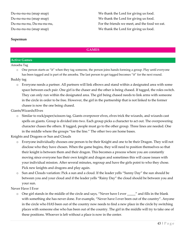Du-nu-nu-nu (snap snap) Du-nu-nu-nu (snap snap) Du-nu-nu-nu, Du-nu-nu-nu, Du-nu-nu-nu (snap snap)

We thank the Lord for giving us food. We thank the Lord for giving us food. For the friends we meet, and the food we eat. We thank the Lord for giving us food.

#### **Superman**

#### **GAMES**

## **Active Games**

#### Amoeba Tag

o One person starts as "it" when they tag someone, the person joins hands forming a group. Play until everyone has been tagged and is part of the amoeba. The last person to get tagged becomes "it" for the next round.

#### Buddy tag

o Everyone needs a partner. All partners will link elbows and stand within a designated area with some space between each pair. One girl is the chaser and the other is being chased. If tagged, the roles switch. They can only run within the designated area. The girl being chased needs to link arms with someone in the circle in order to be free. However, the girl in the partnership that is not linked to the former chasee is now the one being chased.

#### Giants/Wizards/Elves

o Similar to rock/paper/scissors tag. Giants overpower elves, elves trick the wizards, and wizards cast spells on giants. Group is divided into two. Each group picks a character to act out. The overpowering character chases the others. If tagged, people must go to the other group. Three lines are needed. One in the middle where the groups "toe the line." The other two are home bases.

#### Knights and Dragons or Sun and Clouds

- o Everyone individually chooses one person to be their Knight and one to be their Dragon. They will not disclose who they have chosen. When the game begins, they will need to position themselves so that their knight is between them and their dragon. This becomes a process where you are constantly moving since everyone has their own knight and dragon and sometimes this will cause issues with your individual mission. After several minutes, regroup and have the girls point to who they chose. Pick new knights and dragons and play again.
- o Sun and Clouds variation: Pick a sun and a cloud. If the leader yells "Sunny Day" the sun should be between you and your cloud and if the leader yells "Rainy Day" the cloud should be between you and your sun.

#### Never Have I Ever

o One girl stands in the middle of the circle and says, "Never have I ever \_\_\_\_\_" and fills in the blank with something she has never done. For example, "Never have I ever been out of the country". Anyone in the circle who HAS been out of the country now needs to find a new place in the circle by switching places with someone else who has been out of the country. The girl in the middle will try to take one of these positions. Whoever is left without a place is now in the center.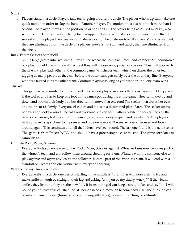## Ninja

o Players stand in a circle. Players take turns, going around the circle. The player who is up can make one quick motion in order to slap the hand of another player. The motion must last not much more than 1 second. The player freezes in the position he or she ends in. The player being assaulted must try, also with one quick move, to evade being hand-slapped. This move must also last not much more than 1 second and the player then freezes in whatever position he or she ends in. If a players' hand is slapped, they are eliminated from the circle. If a players' move is not swift and quick, they are eliminated from the circle.

Rock, Paper, Scissors Battlefield

Split a large group into two teams. Draw a line where the teams will meet and compete. Set boundaries of a playing field. Each time will decide if they will choose rock, paper, or scissors. They will approach the line and play each other at the common game. Whichever team wins then chases the other team, tagging as many people as they can before the other team gets safely over the boundary line. Everyone who was tagged joins the other team. Continue playing as long as you want or until one team wins!

## Thicket

o This game is very similar to hide and seek, and is best played in a woodland environment. One person is the seeker and has to keep one foot in the same spot during the entire game. They can move up and down and stretch their body out, but they cannot move that one foot! The seeker then closes her eyes and counts to 15 slowly. Everyone else goes and hides in a designated plot of area. The seeker opens her eyes and looks around. She calls out everyone she can see. If after a while the seeker finds all the hiders she can see, but hasn't found them all, she closes her eyes again and counts to 5. The players hiding move 5 steps closer to the seeker and hide once more. The seeker opens her eyes and looks around again. This continues until all the hiders have been found. The last one found is the new seeker. This game is from Project WILD, and should have a processing piece at the end. The game correlates to camouflage.

Ultimate Rock, Paper, Scissors

o Everyone finds someone else to play Rock, Paper, Scissors against. Whoever loses now becomes part of the winner's team and will follow them around cheering for them. Winners will find someone else to play against and again any losers and followers become part of this winner's team. It will end with a standoff of 2 teams and one winner with everyone cheering.

Will you be my Ducky-Wucky?

o Everyone sits in a circle, one person starting in the middle is "it" and has to choose a girl to try and make smile or laugh by sitting in their lap and asking "will you be my ducky-wucky?" If the victim smiles, they lose and they are the new "it". If instead the girl can keep a straight face and say "no, I will not be your ducky-wucky," then the "it" person needs to move on to somebody else. The question can be asked in any manner (funny voices or making silly faces), however touching is off-limits.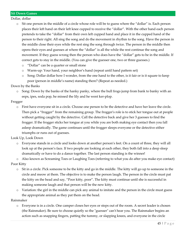Dollar, dollar

- o Sit one person in the middle of a circle whose role will be to guess where the "dollar" is. Each person places their left hand on their left knee cupped to receive the "dollar". With the other hand each person pretends to take the "dollar" from their own left cupped hand and place it in the cupped hand of the person to their right. All sing the song and do the movement in rhythm to the song. Have the person in the middle close their eyes while the rest sing the song through twice. The person in the middle then opens their eyes and guesses at where the "dollar" is all the while the rest continue the song and movement. If they guess wrong then the person who does have the "dollar" gets to be in the middle. If correct gets to stay in the middle. (You can give the guesser one, two or three guesses.)
	- o "Dollar" can be a quarter or small stone
	- o Warm-up: Your hand, your neighbor's hand (repeat until hand pattern set)
	- o Song: Dollar dollar how I wonder, from the one hand to the other, is it fair or is it square to keep poor (person in middle's name) standing there? (Repeat as needed.)

Down by the Banks

o Song: Down by the banks of the hanky panky, where the bull frogs jump from bank to banky with an eeps, ipes, soda pop, he missed the lily and he went ker-plop.

Frogger

o First have everyone sit in a circle. Choose one person to be the detective and have her leave the circle. Then pick a "frogger" from the remaining group. The frogger's role is to stick her tongue out at people without getting caught by the detective. Call the detective back and give her 3 guesses to find the frogger. If the frogger sticks her tongue at you while you are both making eye contact then you fall asleep dramatically. The game continues until the frogger sleeps everyone or the detective either triumphs or runs out of guesses.

Look Up, Look Down

o Everyone stands in a circle and looks down at another person's feet. On a count of three, they will all look up at the person's face. If two people are looking at each other, they both fall into a deep sleep dramatically or have to do a dance together. The last person standing is the winner!

o Also known as Screaming Toes or Laughing Toes (referring to what you do after you make eye contact) Poor Kitty

- o Sit in a circle. Pick someone to be the kitty and go in the middle. The kitty will go up to someone in the circle and meow at them. The objective is to make the person laugh. The person in the circle must pat the kitty on the head and say, "Poor kitty, poor". The kitty must continue until she is successful in making someone laugh and that person will be the new kitty.
- o Variation: the girl in the middle can pick any animal to imitate and the person in the circle must guess the appropriate animal as they pat them on the head.

Rainmaker

o Everyone is in a circle. One camper closes her eyes or steps out of the room. A secret leader is chosen (the Rainmaker). Be sure to choose quietly so the "guesser" can't hear you. The Rainmaker begins an action such as snapping fingers, patting the tummy, or slapping knees, and everyone in the circle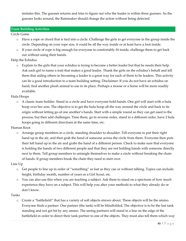imitates this. The guesser returns and tries to figure out who the leader is within three guesses. As the guesser looks around, the Rainmaker should change the action without being detected.

#### **Team Building Activities**

Circle Game

- o Have a rope or chord that is tied into a circle. Challenge the girls to get everyone in the group inside the circle. Depending on your rope size, it could be all the way inside or at least have a foot inside.
- o If your circle of rope is big enough for everyone to comfortably fit inside, challenge them to get back out without using their hands.

## Help the Echidna

o Explain to the girls that your echidna is trying to become a better leader but that he needs their help. Ask each girl to name a trait that makes a good leader. Thank the girls on the echidna's behalf and tell them that aiding others in becoming a leader is a great way for each of them to be leaders. This activity can be a good introduction to a team building setting. Disclaimer: If you do not have an echidna on hand, find another plush animal to use in its place. Perhaps a moose or a horse will be more readily available.

## Hula Hoops

o A classic team builder. Stand in a circle and have everyone hold hands. One girl will start with a hula hoop over her arm. The objective is to get the hula hoop all the way around the circle and back to its origin without letting go of one another's hands. Start with a simple round so they can get used to the process, but then add challenges. Time them, go in reverse order, stand in a different order, have 2 hula hoops going in different directions at the same time, etc.

#### Human Knot

o Arrange group members in a circle, standing shoulder to shoulder. Tell everyone to put their right hand up in the air, and then grab the hand of someone across the circle from them. Everyone then puts their left hand up in the air and grabs the hand of a different person. Check to make sure that everyone is holding the hands of two different people and that they are not holding hands with someone directly next to them. Tell group members to untangle themselves to make a circle without breaking the chain of hands. If group members break the chain they need to start over.

#### Line Up

- o Get people to line up in order of "something" as fast as they can or without talking. Topics can include: height, birthday month, number of years as a Girl Scout, etc.
- o You can also use this when you are teaching a subject. Ask them to stand on a spectrum of how much experience they have on a subject. This will help you alter your methods to what they already do or don't know.

#### Tanks

o Create a "battlefield" that has a variety of soft objects strewn about. These objects will be the ammo. Everyone finds a partner. One partner (the tank) will be blindfolded. The objective is to be the last tank standing and not get hit by any ammo. The seeing partners will stand in a line on the edge of the battlefield in order to direct their tank partner to one of the objects. They must also tell them which way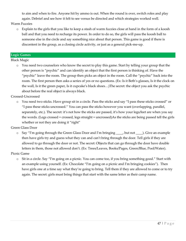to aim and when to fire. Anyone hit by ammo is out. When the round is over, switch roles and play again. Debrief and see how it felt to see versus be directed and which strategies worked well.

## Warm Fuzzies

o Explain to the girls that you like to keep a stash of warm fuzzies close at hand in the form of a koosh ball and that you need to recharge its power. In order to do so, the girls will pass the koosh ball to someone else in the circle and say something nice about that person. This game is good if there is discontent in the group, as a closing circle activity, or just as a general pick-me-up.

#### **Logic Games**

Black Magic

o You need two counselors who know the secret to play this game. Start by telling your group that the other person is "psychic" and can identify an object that the first person is thinking of. Have the "psychic" leave the room. The group then picks an object in the room. Call the "psychic" back into the room. The first person then asks a series of yes or no questions. (Ex: Is it Beth's glasses, Is it the clock on the wall, Is it the green paper, Is it cupcake's black shoes…)The secret: the object you ask the psychic about before the real object is always black.

Crossed-Uncrossed

o You need two sticks. Have group sit in a circle. Pass the sticks and say "I pass these sticks crossed" or "I pass these sticks uncrossed." You can pass the sticks however you want (overlapping, parallel, separately, etc.). The secret: it's not how the sticks are passed, it's how your legs/feet are when you say the words. (Legs crossed = crossed, legs straight = uncrossed)As the sticks are being passed tell the girls whether or not they are doing it "right"

Green Glass Door

o Say "I'm going through the Green Glass Door and I'm bringing \_\_\_\_, but not \_\_\_\_). Give an example then have girls try and guess what they can and can't bring through the door. Tell girls if they are allowed to go through the door or not. The secret: Objects that can go through the door have double letters in them, those not allowed don't. (Ex: Trees/Leaves, Books/Pages, Green/Blue, Pool/Water).

Picnic Game

o Sit in a circle. Say "I'm going on a picnic. You can come too, if you bring something good." Start with an example using yourself. (Ex: Chocolate "I'm going on a picnic and I'm bringing cookies"). Then have girls one at a time say what they're going to bring. Tell them if they are allowed to come or to try again. The secret: girls must bring things that start with the same letter as their camp name.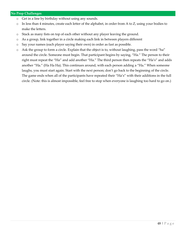## **No Prop Challenges**

- o Get in a line by birthday without using any sounds.
- o In less than 4 minutes, create each letter of the alphabet, in order from A to Z, using your bodies to make the letters.
- o Stack as many fists on top of each other without any player leaving the ground.
- o As a group, link together in a circle making each link in between players different
- o Say your names (each player saying their own) in order as fast as possible.
- o Ask the group to form a circle. Explain that the object is to, without laughing, pass the word "ha" around the circle. Someone must begin. That participant begins by saying, "Ha." The person to their right must repeat the "Ha" and add another "Ha." The third person then repeats the "Ha's" and adds another "Ha." (Ha Ha Ha). This continues around, with each person adding a "Ha." When someone laughs, you must start again. Start with the next person; don't go back to the beginning of the circle. The game ends when all of the participants have repeated their "Ha's" with their additions in the full circle. (Note: this is almost impossible, feel free to stop when everyone is laughing too hard to go on.)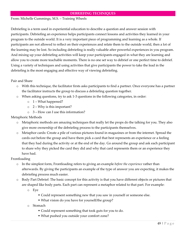#### **DEBRIEFING TECHNIQUES**

#### From: Michelle Cummings, M.S. – Training Wheels

Debriefing is a term used in experiential education to describe a question and answer session with participants. Debriefing an experience helps participants connect lessons and activities they learned in your program to the outside world. It is a very important piece of programming and learning as a whole. If participants are not allowed to reflect on their experiences and relate them to the outside world, then a lot of the learning may be lost. So including debriefing is really valuable after powerful experiences in you program. And mixing up your debriefing activities will keep your participants engaged in what they are learning and allow you to create more teachable moments. There is no one set way to debrief or one perfect time to debrief. Using a variety of techniques and using activities that give participants the power to take the lead in the debriefing is the most engaging and effective way of viewing debriefing.

#### Pair and Share

- o With this technique, the facilitator firsts asks participants to find a partner. Once everyone has a partner the facilitator instructs the group to discuss a debriefing question together.
- o When asking questions, try to ask 1-3 questions in the following categories, in order:
	- $\circ$  1 What happened?
	- o 2 Why is this important?
	- o 3 How can I use this information?

#### Metaphoric Methods

- o Metaphoric methods are amazing techniques that really let the props do the talking for you. They also give more ownership of the debriefing process to the participants themselves.
- o Metaphor cards: Create a pile of various pictures found in magazines or from the internet. Spread the cards out before the group and have them pick a card that best represents an experience or a feeling that they had during the activity or at the end of the day. Go around the group and ask each participant to share why they picked the card they did and why that card represents them or an experience they have had.

#### Frontloading

- o In the simplest form, Frontloading refers to giving an example *before the experience* rather than afterwards. By giving the participants an example of the type of answer you are expecting, it makes the debriefing process much easier.
- o Body Part Debrief: The basic concept for this activity is that you have different objects or pictures that are shaped like body parts. Each part can represent a metaphor related to that part. For example:
	- o Eye
		- Could represent something new that you saw in yourself or someone else.
		- What vision do you have for yourself/the group?
	- o Stomach
		- Could represent something that took guts for you to do.
		- What pushed you outside your comfort zone?